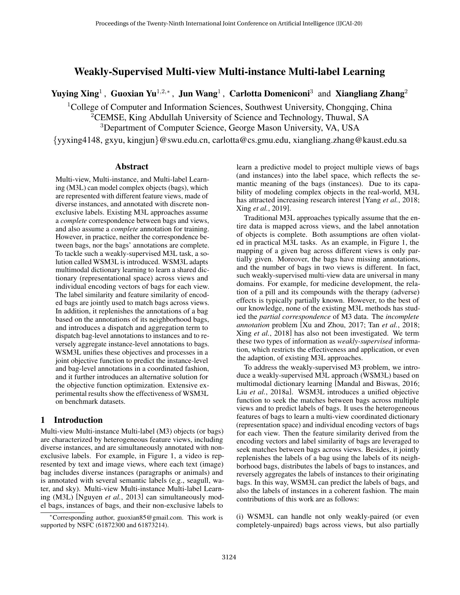# Weakly-Supervised Multi-view Multi-instance Multi-label Learning

Yuying Xing<sup>1</sup>, Guoxian Yu<sup>1,2,\*</sup>, Jun Wang<sup>1</sup>, Carlotta Domeniconi<sup>3</sup> and Xiangliang Zhang<sup>2</sup>

<sup>1</sup>College of Computer and Information Sciences, Southwest University, Chongqing, China <sup>2</sup>CEMSE, King Abdullah University of Science and Technology, Thuwal, SA <sup>3</sup>Department of Computer Science, George Mason University, VA, USA

{yyxing4148, gxyu, kingjun}@swu.edu.cn, carlotta@cs.gmu.edu, xiangliang.zhang@kaust.edu.sa

#### Abstract

Multi-view, Multi-instance, and Multi-label Learning (M3L) can model complex objects (bags), which are represented with different feature views, made of diverse instances, and annotated with discrete nonexclusive labels. Existing M3L approaches assume a *complete* correspondence between bags and views, and also assume a *complete* annotation for training. However, in practice, neither the correspondence between bags, nor the bags' annotations are complete. To tackle such a weakly-supervised M3L task, a solution called WSM3L is introduced. WSM3L adapts multimodal dictionary learning to learn a shared dictionary (representational space) across views and individual encoding vectors of bags for each view. The label similarity and feature similarity of encoded bags are jointly used to match bags across views. In addition, it replenishes the annotations of a bag based on the annotations of its neighborhood bags, and introduces a dispatch and aggregation term to dispatch bag-level annotations to instances and to reversely aggregate instance-level annotations to bags. WSM3L unifies these objectives and processes in a joint objective function to predict the instance-level and bag-level annotations in a coordinated fashion, and it further introduces an alternative solution for the objective function optimization. Extensive experimental results show the effectiveness of WSM3L on benchmark datasets.

## 1 Introduction

Multi-view Multi-instance Multi-label (M3) objects (or bags) are characterized by heterogeneous feature views, including diverse instances, and are simultaneously annotated with nonexclusive labels. For example, in Figure [1,](#page-1-0) a video is represented by text and image views, where each text (image) bag includes diverse instances (paragraphs or animals) and is annotated with several semantic labels (e.g., seagull, water, and sky). Multi-view Multi-instance Multi-label Learning (M3L) [\[Nguyen](#page-6-0) *et al.*, 2013] can simultaneously model bags, instances of bags, and their non-exclusive labels to

learn a predictive model to project multiple views of bags (and instances) into the label space, which reflects the semantic meaning of the bags (instances). Due to its capability of modeling complex objects in the real-world, M3L has attracted increasing research interest [Yang *et al.*[, 2018;](#page-6-1) Xing *et al.*[, 2019\]](#page-6-2).

Traditional M3L approaches typically assume that the entire data is mapped across views, and the label annotation of objects is complete. Both assumptions are often violated in practical M3L tasks. As an example, in Figure [1,](#page-1-0) the mapping of a given bag across different views is only partially given. Moreover, the bags have missing annotations, and the number of bags in two views is different. In fact, such weakly-supervised multi-view data are universal in many domains. For example, for medicine development, the relation of a pill and its compounds with the therapy (adverse) effects is typically partially known. However, to the best of our knowledge, none of the existing M3L methods has studied the *partial correspondence* of M3 data. The *incomplete annotation* problem [\[Xu and Zhou, 2017;](#page-6-3) Tan *et al.*[, 2018;](#page-6-4) Xing *et al.*[, 2018\]](#page-6-5) has also not been investigated. We term these two types of information as *weakly-supervised* information, which restricts the effectiveness and application, or even the adaption, of existing M3L approaches.

To address the weakly-supervised M3 problem, we introduce a weakly-supervised M3L approach (WSM3L) based on multimodal dictionary learning [\[Mandal and Biswas, 2016;](#page-6-6) Liu *et al.*[, 2018a\]](#page-6-7). WSM3L introduces a unified objective function to seek the matches between bags across multiple views and to predict labels of bags. It uses the heterogeneous features of bags to learn a multi-view coordinated dictionary (representation space) and individual encoding vectors of bags for each view. Then the feature similarity derived from the encoding vectors and label similarity of bags are leveraged to seek matches between bags across views. Besides, it jointly replenishes the labels of a bag using the labels of its neighborhood bags, distributes the labels of bags to instances, and reversely aggregates the labels of instances to their originating bags. In this way, WSM3L can predict the labels of bags, and also the labels of instances in a coherent fashion. The main contributions of this work are as follows:

(i) WSM3L can handle not only weakly-paired (or even completely-unpaired) bags across views, but also partially

<sup>∗</sup>Corresponding author, guoxian85@gmail.com. This work is supported by NSFC (61872300 and 61873214).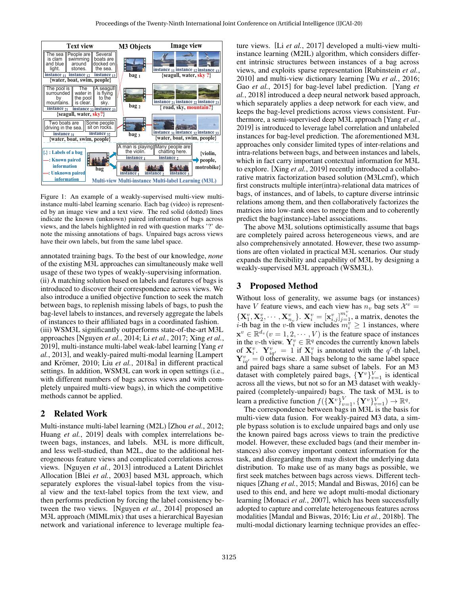<span id="page-1-0"></span>

Figure 1: An example of a weakly-supervised multi-view multiinstance multi-label learning scenario. Each bag (video) is represented by an image view and a text view. The red solid (dotted) lines indicate the known (unknown) paired information of bags across views, and the labels highlighted in red with question marks '?' denote the missing annotations of bags. Unpaired bags across views have their own labels, but from the same label space.

annotated training bags. To the best of our knowledge, *none* of the existing M3L approaches can simultaneously make well usage of these two types of weakly-supervising information. (ii) A matching solution based on labels and features of bags is introduced to discover their correspondence across views. We also introduce a unified objective function to seek the match between bags, to replenish missing labels of bags, to push the bag-level labels to instances, and reversely aggregate the labels of instances to their affiliated bags in a coordinated fashion. (iii) WSM3L significantly outperforms state-of-the-art M3L approaches [\[Nguyen](#page-6-8) *et al.*, 2014; Li *et al.*[, 2017;](#page-6-9) [Xing](#page-6-2) *et al.*, [2019\]](#page-6-2), multi-instance multi-label weak-label learning [\[Yang](#page-6-10) *et al.*[, 2013\]](#page-6-10), and weakly-paired multi-modal learning [\[Lampert](#page-6-11) and Krömer, 2010; Liu et al.[, 2018a\]](#page-6-7) in different practical settings. In addition, WSM3L can work in open settings (i.e., with different numbers of bags across views and with completely unpaired multi-view bags), in which the competitive methods cannot be applied.

## 2 Related Work

Multi-instance multi-label learning (M2L) [Zhou *et al.*[, 2012;](#page-6-12) Huang *et al.*[, 2019\]](#page-6-13) deals with complex interrelations between bags, instances, and labels. M3L is more difficult, and less well-studied, than M2L, due to the additional heterogeneous feature views and complicated correlations across views. [\[Nguyen](#page-6-0) *et al.*, 2013] introduced a Latent Dirichlet Allocation [Blei *et al.*[, 2003\]](#page-6-14) based M3L approach, which separately explores the visual-label topics from the visual view and the text-label topics from the text view, and then performs prediction by forcing the label consistency between the two views. [\[Nguyen](#page-6-8) *et al.*, 2014] proposed an M3L approach (MIMLmix) that uses a hierarchical Bayesian network and variational inference to leverage multiple feature views. [Li *et al.*[, 2017\]](#page-6-9) developed a multi-view multiinstance learning (M2IL) algorithm, which considers different intrinsic structures between instances of a bag across views, and exploits sparse representation [\[Rubinstein](#page-6-15) *et al.*, [2010\]](#page-6-15) and multi-view dictionary learning [Wu *et al.*[, 2016;](#page-6-16) Gao *et al.*[, 2015\]](#page-6-17) for bag-level label prediction. [\[Yang](#page-6-1) *et al.*[, 2018\]](#page-6-1) introduced a deep neural network based approach, which separately applies a deep network for each view, and keeps the bag-level predictions across views consistent. Furthermore, a semi-supervised deep M3L approach [\[Yang](#page-6-18) *et al.*, [2019\]](#page-6-18) is introduced to leverage label correlation and unlabeled instances for bag-level prediction. The aforementioned M3L approaches only consider limited types of inter-relations and intra-relations between bags, and between instances and labels, which in fact carry important contextual information for M3L to explore. [Xing *et al.*[, 2019\]](#page-6-2) recently introduced a collaborative matrix factorization based solution (M3Lcmf), which first constructs multiple inter(intra)-relational data matrices of bags, of instances, and of labels, to capture diverse intrinsic relations among them, and then collaboratively factorizes the matrices into low-rank ones to merge them and to coherently predict the bag(instance)-label associations.

The above M3L solutions optimistically assume that bags are completely paired across heterogeneous views, and are also comprehensively annotated. However, these two assumptions are often violated in practical M3L scenarios. Our study expands the flexibility and capability of M3L by designing a weakly-supervised M3L approach (WSM3L).

## 3 Proposed Method

Without loss of generality, we assume bags (or instances) have V feature views, and each view has  $n_v$  bag sets  $\mathcal{X}^v =$  ${\bf \{X}}_1^v, {\bf X}_2^v, \cdots, {\bf X}_{n_v}^v\}$ .  ${\bf X}_i^v = [{\bf x}_{i,j}^v]_{j=1}^{m_i^v}$ , a matrix, denotes the *i*-th bag in the *v*-th view includes  $m_i^v \ge 1$  instances, where  $\mathbf{x}^v \in \mathbb{R}^{d_v} (v = 1, 2, \cdots, V)$  is the feature space of instances in the v-th view.  $\mathbf{Y}_i^v \in \mathbb{R}^q$  encodes the currently known labels of  $X_i^v$ .  $Y_{iq'}^v = 1$  if  $X_i^v$  is annotated with the q'-th label,  $\mathbf{Y}_{iq'}^v = 0$  otherwise. All bags belong to the same label space and paired bags share a same subset of labels. For an M3 dataset with completely paired bags,  $\{Y^v\}_{v=1}^V$  is identical across all the views, but not so for an M3 dataset with weaklypaired (completely-unpaired) bags. The task of M3L is to learn a predictive function  $f(\left\{ \mathbf{X}^{v}\right\} _{v=1}^{V}, \left\{ \mathbf{Y}^{v}\right\} _{v=1}^{V}) \rightarrow \mathbb{R}^{q}$ .

The correspondence between bags in M3L is the basis for multi-view data fusion. For weakly-paired M3 data, a simple bypass solution is to exclude unpaired bags and only use the known paired bags across views to train the predictive model. However, these excluded bags (and their member instances) also convey important context information for the task, and disregarding them may distort the underlying data distribution. To make use of as many bags as possible, we first seek matches between bags across views. Different techniques [Zhang *et al.*[, 2015;](#page-6-19) [Mandal and Biswas, 2016\]](#page-6-6) can be used to this end, and here we adopt multi-modal dictionary learning [\[Monaci](#page-6-20) *et al.*, 2007], which has been successfully adopted to capture and correlate heterogeneous features across modalities [\[Mandal and Biswas, 2016;](#page-6-6) Liu *et al.*[, 2018b\]](#page-6-21). The multi-modal dictionary learning technique provides an effec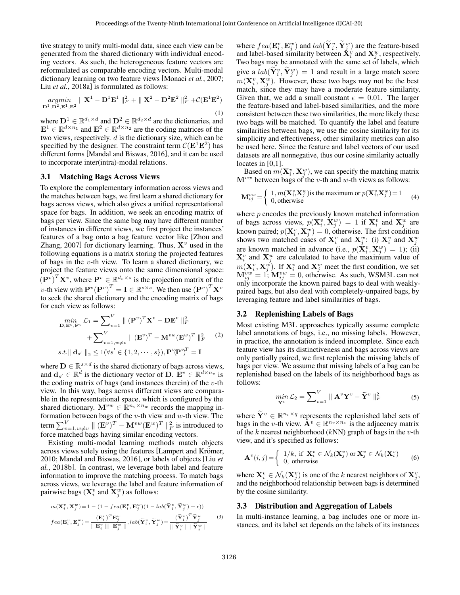tive strategy to unify multi-modal data, since each view can be generated from the shared dictionary with individual encoding vectors. As such, the heterogeneous feature vectors are reformulated as comparable encoding vectors. Multi-modal dictionary learning on two feature views [\[Monaci](#page-6-20) *et al.*, 2007; Liu *et al.*[, 2018a\]](#page-6-7) is formulated as follows:

$$
\underset{\mathbf{D}^1, \mathbf{D}^2, \mathbf{E}^1, \mathbf{E}^2}{argmin} \parallel \mathbf{X}^1 - \mathbf{D}^1 \mathbf{E}^1 \parallel_F^2 + \parallel \mathbf{X}^2 - \mathbf{D}^2 \mathbf{E}^2 \parallel_F^2 + \mathcal{C}(\mathbf{E}^1 \mathbf{E}^2) \n\tag{1}
$$

where  $\mathbf{D}^1 \in \mathbb{R}^{d_1 \times d}$  and  $\mathbf{D}^2 \in \mathbb{R}^{d_2 \times d}$  are the dictionaries, and  $\mathbf{E}^1 \in \mathbb{R}^{d \times n_1}$  and  $\mathbf{E}^2 \in \mathbb{R}^{d \times n_2}$  are the coding matrices of the two views, respectively.  $d$  is the dictionary size, which can be specified by the designer. The constraint term  $\mathcal{C}(\mathbf{E}^1 \mathbf{E}^2)$  has different forms [\[Mandal and Biswas, 2016\]](#page-6-6), and it can be used to incorporate inter(intra)-modal relations.

### 3.1 Matching Bags Across Views

To explore the complementary information across views and the matches between bags, we first learn a shared dictionary for bags across views, which also gives a unified representational space for bags. In addition, we seek an encoding matrix of bags per view. Since the same bag may have different number of instances in different views, we first project the instances' features of a bag onto a bag feature vector like [\[Zhou and](#page-6-22) [Zhang, 2007\]](#page-6-22) for dictionary learning. Thus,  $X^v$  used in the following equations is a matrix storing the projected features of bags in the  $v$ -th view. To learn a shared dictionary, we project the feature views onto the same dimensional space:  $(\mathbf{P}^v)^T \mathbf{X}^v$ , where  $\mathbf{P}^v \in \mathbb{R}^{d_v \times s}$  is the projection matrix of the v-th view with  $\mathbf{P}^v(\mathbf{P}^v)^T = \mathbf{I} \in \mathbb{R}^{s \times s}$ . We then use  $(\mathbf{P}^v)^T \mathbf{X}^v$ to seek the shared dictionary and the encoding matrix of bags for each view as follows:

$$
\min_{\mathbf{D}, \mathbf{E}^v, \mathbf{P}^v} \mathcal{L}_1 = \sum_{v=1}^V \| (\mathbf{P}^v)^T \mathbf{X}^v - \mathbf{D} \mathbf{E}^v \|_F^2
$$
  
+ 
$$
\sum_{v=1, w \neq v}^V \| (\mathbf{E}^v)^T - \mathbf{M}^{vw} (\mathbf{E}^w)^T \|_F^2 \qquad (2)
$$
  
s.t.  $\| \mathbf{d}_{s'} \|_2 \le 1 (\forall s' \in \{1, 2, \dots, s\}), \mathbf{P}^v (\mathbf{P}^v)^T = \mathbf{I}$ 

where  $\mathbf{D} \in \mathbb{R}^{s \times d}$  is the shared dictionary of bags across views, and  $\mathbf{d}_{s'} \in \mathbb{R}^d$  is the dictionary vector of **D**.  $\mathbf{E}^v \in \mathbb{R}^{d \times n_v}$  is the coding matrix of bags (and instances therein) of the  $v$ -th view. In this way, bags across different views are comparable in the representational space, which is configured by the shared dictionary.  $\mathbf{M}^{vw} \in \mathbb{R}^{n_v \times n_w}$  records the mapping information between bags of the  $v$ -th view and  $w$ -th view. The term  $\sum_{v=1,w\neq v}^V \parallel ({\bf E}^v)^T-{\bf M}^{vw}({\bf E}^w)^T\parallel^2_F$  is introduced to force matched bags having similar encoding vectors.

Existing multi-modal learning methods match objects across views solely using the features [Lampert and Krömer, [2010;](#page-6-11) [Mandal and Biswas, 2016\]](#page-6-6), or labels of objects [\[Liu](#page-6-21) *et al.*[, 2018b\]](#page-6-21). In contrast, we leverage both label and feature information to improve the matching process. To match bags across views, we leverage the label and feature information of pairwise bags  $(\mathbf{X}_i^v \text{ and } \mathbf{X}_j^w)$  as follows:

$$
m(\mathbf{X}_{i}^{v}, \mathbf{X}_{j}^{w}) = 1 - (1 - fe^{u}(\mathbf{E}_{i}^{v}, \mathbf{E}_{j}^{w})(1 - lab(\widetilde{\mathbf{Y}}_{i}^{v}, \widetilde{\mathbf{Y}}_{j}^{w}) + \epsilon))
$$

$$
fe^{u}(\mathbf{E}_{i}^{v}, \mathbf{E}_{j}^{w}) = \frac{(\mathbf{E}_{i}^{v})^{T} \mathbf{E}_{j}^{w}}{\|\mathbf{E}_{i}^{w}\| \|\mathbf{E}_{j}^{w}\|}, lab(\widetilde{\mathbf{Y}}_{i}^{v}, \widetilde{\mathbf{Y}}_{j}^{w}) = \frac{(\widetilde{\mathbf{Y}}_{i}^{v})^{T} \widetilde{\mathbf{Y}}_{j}^{w}}{\|\widetilde{\mathbf{Y}}_{i}^{w}\| \|\widetilde{\mathbf{Y}}_{j}^{w}\|}
$$
(3)

where  $fea(\mathbf{E}_{i}^{v}, \mathbf{E}_{j}^{w})$  and  $lab(\widetilde{\mathbf{Y}}_{i}^{v}, \widetilde{\mathbf{Y}}_{j}^{w})$  are the feature-based and label-based similarity between  $\mathbf{X}_i^v$  and  $\mathbf{X}_j^w$ , respectively. Two bags may be annotated with the same set of labels, which give a  $lab(\tilde{Y}_i^v, \tilde{Y}_j^w) = 1$  and result in a large match score  $m(\mathbf{X}_i^v, \mathbf{X}_j^w)$ . However, these two bags may not be the best match, since they may have a moderate feature similarity. Given that, we add a small constant  $\epsilon = 0.01$ . The larger the feature-based and label-based similarities, and the more consistent between these two similarities, the more likely these two bags will be matched. To quantify the label and feature similarities between bags, we use the cosine similarity for its simplicity and effectiveness, other similarity metrics can also be used here. Since the feature and label vectors of our used datasets are all nonnegative, thus our cosine similarity actually locates in [0,1].

Based on  $m(\mathbf{X}_i^v, \mathbf{X}_j^w)$ , we can specify the matching matrix  $M^{vw}$  between bags of the v-th and w-th views as follows:

$$
\mathbf{M}_{ij}^{vw} = \begin{cases} 1, m(\mathbf{X}_i^v, \mathbf{X}_j^w) \text{ is the maximum or } p(\mathbf{X}_i^v, \mathbf{X}_j^w) = 1\\ 0, \text{ otherwise} \end{cases} \tag{4}
$$

where  $p$  encodes the previously known matched information of bags across views,  $p(\mathbf{X}_i^v, \mathbf{X}_j^w) = 1$  if  $\mathbf{X}_i^v$  and  $\mathbf{X}_j^w$  are known paired;  $p(\mathbf{X}_i^v, \mathbf{X}_j^w) = 0$ , otherwise. The first condition shows two matched cases of  $X_i^v$  and  $X_j^w$ : (i)  $X_i^v$  and  $X_j^w$ are known matched in advance (i.e.,  $p(\mathbf{X}_i^v, \mathbf{X}_j^w) = 1$ ); (ii)  $X_i^v$  and  $X_j^w$  are calculated to have the maximum value of  $m(\mathbf{X}_i^v, \mathbf{X}_j^w)$ . If  $\mathbf{X}_i^v$  and  $\mathbf{X}_j^w$  meet the first condition, we set  $\mathbf{M}_{ij}^{vw} = 1$ ;  $\mathbf{M}_{ij}^{vw} = 0$ , otherwise. As such, WSM3L can not only incorporate the known paired bags to deal with weaklypaired bags, but also deal with completely-unpaired bags, by leveraging feature and label similarities of bags.

## 3.2 Replenishing Labels of Bags

Most existing M3L approaches typically assume complete label annotations of bags, i.e., no missing labels. However, in practice, the annotation is indeed incomplete. Since each feature view has its distinctiveness and bags across views are only partially paired, we first replenish the missing labels of bags per view. We assume that missing labels of a bag can be replenished based on the labels of its neighborhood bags as follows:

<span id="page-2-0"></span>
$$
\min_{\widetilde{\mathbf{Y}}^v} \mathcal{L}_2 = \sum_{v=1}^V \parallel \mathbf{A}^v \mathbf{Y}^v - \widetilde{\mathbf{Y}}^v \parallel_F^2
$$
 (5)

where  $\widetilde{\mathbf{Y}}^v \in \mathbb{R}^{n_v \times q}$  represents the replenished label sets of bags in the v-th view.  $\mathbf{A}^v \in \mathbb{R}^{n_v \times n_v}$  is the adjacency matrix of the k nearest neighborhood  $(kNN)$  graph of bags in the v-th view, and it's specified as follows:

$$
\mathbf{A}^v(i,j) = \begin{cases} 1/k, & \text{if } \mathbf{X}_i^v \in \mathcal{N}_k(\mathbf{X}_j^v) \text{ or } \mathbf{X}_j^v \in \mathcal{N}_k(\mathbf{X}_i^v) \\ 0, & \text{otherwise} \end{cases}
$$
 (6)

where  $\mathbf{X}_i^v \in \mathcal{N}_k(\mathbf{X}_j^v)$  is one of the k nearest neighbors of  $\mathbf{X}_j^v$ , and the neighborhood relationship between bags is determined by the cosine similarity.

## 3.3 Distribution and Aggregation of Labels

In multi-instance learning, a bag includes one or more instances, and its label set depends on the labels of its instances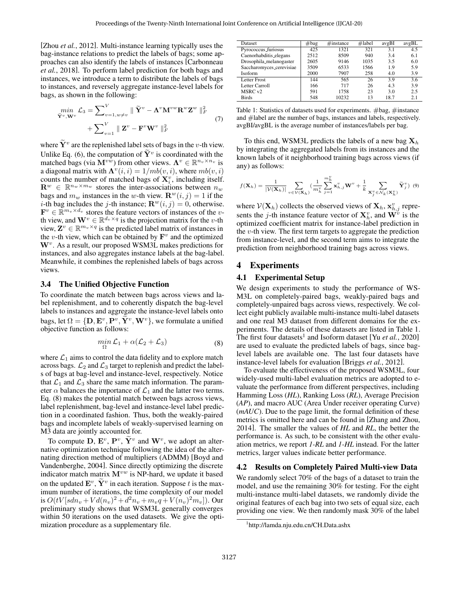[Zhou *et al.*[, 2012\]](#page-6-12). Multi-instance learning typically uses the bag-instance relations to predict the labels of bags; some approaches can also identify the labels of instances [\[Carbonneau](#page-6-23) *et al.*[, 2018\]](#page-6-23). To perform label prediction for both bags and instances, we introduce a term to distribute the labels of bags to instances, and reversely aggregate instance-level labels for bags, as shown in the following:

$$
\begin{aligned}\n\min_{\tilde{\mathbf{Y}}^v, \mathbf{W}^v} \mathcal{L}_3 &= \sum_{v=1, w \neq v}^V \parallel \tilde{\mathbf{Y}}^v - \mathbf{\Lambda}^v \mathbf{M}^{vw} \mathbf{R}^w \mathbf{Z}^w \parallel_F^2 \\
&+ \sum_{v=1}^V \parallel \mathbf{Z}^v - \mathbf{F}^v \mathbf{W}^v \parallel_F^2\n\end{aligned} \tag{7}
$$

where  $\widetilde{\mathbf{Y}}^v$  are the replenished label sets of bags in the *v*-th view. Unlike Eq. [\(6\)](#page-2-0), the computation of  $\tilde{\mathbf{Y}}^v$  is coordinated with the matched bags (via  $M^{vw}$ ) from other views.  $\Lambda^v \in \mathbb{R}^{n_v \times n_v}$  is a diagonal matrix with  $\Lambda^v(i, i) = 1/mb(v, i)$ , where  $mb(v, i)$ counts the number of matched bags of  $\mathbf{X}_{i}^{v}$ , including itself.  $\mathbf{R}^w \in \mathbb{R}^{n_w \times m_w}$  stores the inter-associations between  $n_w$ bags and  $m_w$  instances in the w-th view.  $\mathbf{R}^w(i, j) = 1$  if the *i*-th bag includes the *j*-th instance;  $\mathbf{R}^w(i, j) = 0$ , otherwise.  $\mathbf{F}^v \in \mathbb{R}^{m_v \times d_v}$  stores the feature vectors of instances of the vth view, and  $\mathbf{W}^v \in \mathbb{R}^{d_v \times q}$  is the projection matrix for the *v*-th view,  $\mathbf{Z}^v \in \mathbb{R}^{m_v \times q}$  is the predicted label matrix of instances in the v-th view, which can be obtained by  $\mathbf{F}^v$  and the optimized  $W<sup>v</sup>$ . As a result, our proposed WSM3L makes predictions for instances, and also aggregates instance labels at the bag-label. Meanwhile, it combines the replenished labels of bags across views.

### 3.4 The Unified Objective Function

To coordinate the match between bags across views and label replenishment, and to coherently dispatch the bag-level labels to instances and aggregate the instance-level labels onto bags, let  $\Omega = \{D, E^v, P^v, \tilde{Y}^v, W^v\}$ , we formulate a unified objective function as follows:

<span id="page-3-0"></span>
$$
\min_{\Omega} \mathcal{L}_1 + \alpha(\mathcal{L}_2 + \mathcal{L}_3) \tag{8}
$$

where  $\mathcal{L}_1$  aims to control the data fidelity and to explore match across bags.  $\mathcal{L}_2$  and  $\mathcal{L}_3$  target to replenish and predict the labels of bags at bag-level and instance-level, respectively. Notice that  $\mathcal{L}_1$  and  $\mathcal{L}_3$  share the same match information. The parameter  $\alpha$  balances the importance of  $\mathcal{L}_1$  and the latter two terms. Eq. [\(8\)](#page-3-0) makes the potential match between bags across views, label replenishment, bag-level and instance-level label prediction in a coordinated fashion. Thus, both the weakly-paired bags and incomplete labels of weakly-supervised learning on M3 data are jointly accounted for.

To compute  $\mathbf{D}, \mathbf{E}^v, \mathbf{P}^v, \widetilde{\mathbf{Y}}^v$  and  $\mathbf{W}^v$ , we adopt an alternative optimization technique following the idea of the alternating direction method of multipliers (ADMM) [\[Boyd and](#page-6-24) [Vandenberghe, 2004\]](#page-6-24). Since directly optimizing the discrete indicator match matrix  $M^{vw}$  is NP-hard, we update it based on the updated  $\mathbf{E}^v$ ,  $\widetilde{\mathbf{Y}}^v$  in each iteration. Suppose t is the maximum number of iterations, the time complexity of our model is  $O(tV[sdn_v + Vd(n_v)^2 + d^2n_v + m_vq + V(n_v)^2m_v])$ . Our preliminary study shows that WSM3L generally converges within 50 iterations on the used datasets. We give the optimization procedure as a supplementary file.

<span id="page-3-1"></span>

| <b>Dataset</b>           | $#$ bag | $\#$ instance | $\#$ label | avgBI | avgBL |
|--------------------------|---------|---------------|------------|-------|-------|
| Pyrococcus_furiosus      | 425     | 1321          | 321        | 3.1   | 4.5   |
| Caenorhabditis_elegans   | 2512    | 8509          | 940        | 3.4   | 6.1   |
| Drosophila_melanogaster  | 2605    | 9146          | 1035       | 3.5   | 6.0   |
| Saccharomyces_cerevisiae | 3509    | 6533          | 1566       | 1.9   | 5.9   |
| <b>Isoform</b>           | 2000    | 7907          | 258        | 4.0   | 3.9   |
| Letter Frost             | 144     | 565           | 26         | 3.9   | 3.6   |
| Letter Carroll           | 166     | 717           | 26         | 4.3   | 3.9   |
| MSRC <sub>v2</sub>       | 591     | 1758          | 23         | 3.0   | 2.5   |
| <b>Birds</b>             | 548     | 10232         | 13         | 18.7  | 2.1   |

Table 1: Statistics of datasets used for experiments. #bag, #instance and #label are the number of bags, instances and labels, respectively. avgBI/avgBL is the average number of instances/labels per bag.

To this end, WSM3L predicts the labels of a new bag  $\mathbf{X}_h$ by integrating the aggregated labels from its instances and the known labels of it neighborhood training bags across views (if any) as follows:

$$
f(\mathbf{X}_h) = \frac{1}{|\mathcal{V}(\mathbf{X}_h)|} \sum_{v \in \mathcal{V}(\mathbf{X}_h)} \left( \frac{1}{m_h^v} \sum_{j=1}^{m_h^v} \mathbf{x}_{h,j}^v \mathbf{W}^v + \frac{1}{k} \sum_{\mathbf{X}_j^v \in \mathcal{N}_k(\mathbf{X}_h^v)} \widetilde{\mathbf{Y}}_j^v \right) (9)
$$

where  $\mathcal{V}(\mathbf{X}_h)$  collects the observed views of  $\mathbf{X}_h$ ,  $\mathbf{x}_{h,j}^v$  represents the *j*-th instance feature vector of  $\mathbf{X}_{h}^{v}$ , and  $\mathbf{W}^{\tilde{v}}$  is the optimized coefficient matrix for instance-label prediction in the  $v$ -th view. The first term targets to aggregate the prediction from instance-level, and the second term aims to integrate the prediction from neighborhood training bags across views.

#### 4 Experiments

#### 4.1 Experimental Setup

We design experiments to study the performance of WS-M3L on completely-paired bags, weakly-paired bags and completely-unpaired bags across views, respectively. We collect eight publicly available multi-instance multi-label datasets and one real M3 dataset from different domains for the experiments. The details of these datasets are listed in Table [1.](#page-3-1) The first four datasets<sup>[1](#page-3-2)</sup> and Isoform dataset [Yu *et al.*[, 2020\]](#page-6-25) are used to evaluate the predicted labels of bags, since baglevel labels are available one. The last four datasets have instance-level labels for evaluation [\[Briggs](#page-6-26) *et al.*, 2012].

To evaluate the effectiveness of the proposed WSM3L, four widely-used multi-label evaluation metrics are adopted to evaluate the performance from different perspectives, including Hamming Loss (*HL*), Ranking Loss (*RL*), Average Precision (*AP*), and macro AUC (Area Under receiver operating Curve) (*mAUC*). Due to the page limit, the formal definition of these metrics is omitted here and can be found in [\[Zhang and Zhou,](#page-6-27) [2014\]](#page-6-27). The smaller the values of *HL* and *RL*, the better the performance is. As such, to be consistent with the other evaluation metrics, we report *1-RL* and *1-HL* instead. For the latter metrics, larger values indicate better performance.

#### 4.2 Results on Completely Paired Multi-view Data

We randomly select 70% of the bags of a dataset to train the model, and use the remaining 30% for testing. For the eight multi-instance multi-label datasets, we randomly divide the original features of each bag into two sets of equal size, each providing one view. We then randomly mask 30% of the label

<span id="page-3-2"></span><sup>1</sup> <http://lamda.nju.edu.cn/CH.Data.ashx>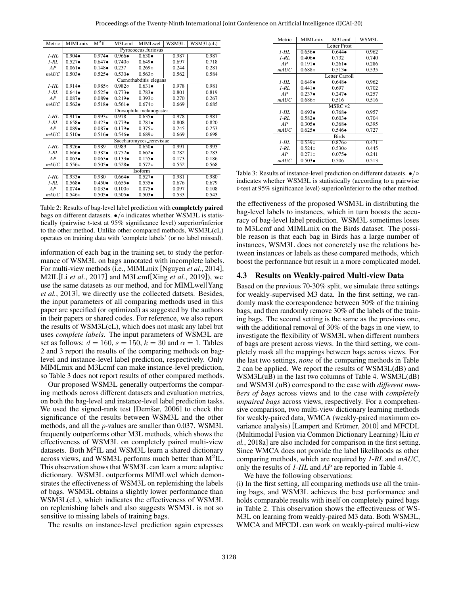<span id="page-4-0"></span>

| Metric   | <b>MIMLmix</b>           | $\rm M^2IL$     | M3Lcmf          | MIMLwel            | WSM3L | WSM3L(cL) |  |  |
|----------|--------------------------|-----------------|-----------------|--------------------|-------|-----------|--|--|
|          | Pyrococcus_furiosus      |                 |                 |                    |       |           |  |  |
| 1-HL     | $0.904 \bullet$          | $0.974 \bullet$ | $0.966 \bullet$ | $0.630 \bullet$    | 0.987 | 0.987     |  |  |
| $1 - RL$ | $0.527 \bullet$          | $0.647 \bullet$ | $0.740\circ$    | $0.649 \bullet$    | 0.697 | 0.718     |  |  |
| AP       | $0.061 \bullet$          | $0.148 \bullet$ | 0.237           | $0.269$ o          | 0.244 | 0.281     |  |  |
| mAUC     | $0.503 \bullet$          | $0.525 \bullet$ | $0.530 \bullet$ | $0.563$ o          | 0.562 | 0.584     |  |  |
|          | Caenorhabditis_elegans   |                 |                 |                    |       |           |  |  |
| $1-HL$   | $0.914 \bullet$          | 0.9850          | $0.982\circ$    | $0.631 \bullet$    | 0.978 | 0.981     |  |  |
| $1-RL$   | $0.641 \bullet$          | $0.525 \bullet$ | $0.773 \bullet$ | $0.783 \bullet$    | 0.801 | 0.819     |  |  |
| AP       | $0.087 \bullet$          | $0.089 \bullet$ | $0.219 \bullet$ | 0.3930             | 0.270 | 0.267     |  |  |
| mAUC     | $0.562 \bullet$          | $0.518 \bullet$ | $0.561 \bullet$ | 0.674 <sub>o</sub> | 0.669 | 0.685     |  |  |
|          | Drosophila_melanogaster  |                 |                 |                    |       |           |  |  |
| $1-HL$   | $0.917 \bullet$          | 0.9930          | 0.978           | $0.635 \bullet$    | 0.978 | 0.981     |  |  |
| $1 - RL$ | $0.658 \bullet$          | $0.423 \bullet$ | $0.779 \bullet$ | $0.781 \bullet$    | 0.808 | 0.820     |  |  |
| AP       | $0.089 \bullet$          | $0.087\bullet$  | $0.179 \bullet$ | $0.375$ o          | 0.245 | 0.253     |  |  |
| mAUC     | $0.510 \bullet$          | $0.516\bullet$  | $0.546 \bullet$ | $0.689$ o          | 0.669 | 0.698     |  |  |
|          | Saccharomyces_cerevisiae |                 |                 |                    |       |           |  |  |
| $1-HL$   | $0.926 \bullet$          | 0.989           | 0.989           | $0.650 \bullet$    | 0.991 | 0.993     |  |  |
| $1 - RL$ | $0.666 \bullet$          | $0.382 \bullet$ | $0.752 \bullet$ | $0.662 \bullet$    | 0.782 | 0.783     |  |  |
| AP       | $0.063 \bullet$          | $0.063 \bullet$ | $0.133 \bullet$ | $0.155 \bullet$    | 0.173 | 0.186     |  |  |
| mAUC     | $0.556\circ$             | $0.505 \bullet$ | $0.528 \bullet$ | $0.572\circ$       | 0.552 | 0.568     |  |  |
|          | Isoform                  |                 |                 |                    |       |           |  |  |
| $1-HL$   | $0.933 \bullet$          | 0.980           | $0.664 \bullet$ | $0.527 \bullet$    | 0.981 | 0.980     |  |  |
| $1 - RL$ | $0.568 \bullet$          | $0.450 \bullet$ | $0.655 \bullet$ | $0.535 \bullet$    | 0.676 | 0.679     |  |  |
| AP       | $0.074 \bullet$          | $0.033 \bullet$ | $0.100\circ$    | $0.075 \bullet$    | 0.097 | 0.108     |  |  |
| mAUC     | 0.5460                   | $0.505 \bullet$ | $0.505 \bullet$ | $0.503 \bullet$    | 0.533 | 0.543     |  |  |

Table 2: Results of bag-level label prediction with completely paired bags on different datasets. •/◦ indicates whether WSM3L is statistically (pairwise t-test at 95% significance level) superior/inferior to the other method. Unlike other compared methods, WSM3L(cL) operates on training data with 'complete labels' (or no label missed).

information of each bag in the training set, to study the performance of WSM3L on bags annotated with incomplete labels. For multi-view methods (i.e., MIMLmix [\[Nguyen](#page-6-8) *et al.*, 2014], M2IL[Li *et al.*[, 2017\]](#page-6-9) and M3Lcmf[Xing *et al.*[, 2019\]](#page-6-2)), we use the same datasets as our method, and for MIMLwel[\[Yang](#page-6-10) *et al.*[, 2013\]](#page-6-10), we directly use the collected datsets. Besides, the input parameters of all comparing methods used in this paper are specified (or optimized) as suggested by the authors in their papers or shared codes. For reference, we also report the results of WSM3L(cL), which does not mask any label but uses *complete labels*. The input parameters of WSM3L are set as follows:  $d = 160$ ,  $s = 150$ ,  $k = 30$  and  $\alpha = 1$ . Tables [2](#page-4-0) and [3](#page-4-1) report the results of the comparing methods on baglevel and instance-level label prediction, respectively. Only MIMLmix and M3Lcmf can make instance-level prediction, so Table [3](#page-4-1) does not report results of other compared methods.

Our proposed WSM3L generally outperforms the comparing methods across different datasets and evaluation metrics, on both the bag-level and instance-level label prediction tasks. We used the signed-rank test [Demšar, 2006] to check the significance of the results between WSM3L and the other methods, and all the p-values are smaller than 0.037. WSM3L frequently outperforms other M3L methods, which shows the effectiveness of WSM3L on completely paired multi-view datasets. Both M<sup>2</sup>IL and WSM3L learn a shared dictionary across views, and WSM3L performs much better than  $M^2IL$ . This observation shows that WSM3L can learn a more adaptive dictionary. WSM3L outperforms MIMLwel which demonstrates the effectiveness of WSM3L on replenishing the labels of bags. WSM3L obtains a slightly lower performance than WSM3L(cL), which indicates the effectiveness of WSM3L on replenishing labels and also suggests WSM3L is not so sensitive to missing labels of training bags.

The results on instance-level prediction again expresses

<span id="page-4-1"></span>

| Metric     | MIML <sub>mix</sub> | M3Lcmf          | WSM3L |  |  |  |
|------------|---------------------|-----------------|-------|--|--|--|
|            | Letter Frost        |                 |       |  |  |  |
| $1-HL$     | $0.656 \bullet$     | $0.644 \bullet$ | 0.962 |  |  |  |
| $1-RL$     | $0.406 \bullet$     | 0.732           | 0.740 |  |  |  |
| AP         | $0.191 \bullet$     | $0.261 \bullet$ | 0.286 |  |  |  |
| mAUC       | $0.688$ o           | $0.513\bullet$  | 0.535 |  |  |  |
|            | Letter Carroll      |                 |       |  |  |  |
| $1-HL$     | $0.649 \bullet$     | $0.648 \bullet$ | 0.962 |  |  |  |
| $1-RL$     | $0.441\bullet$      | 0.697           | 0.702 |  |  |  |
| AP         | $0.237 \bullet$     | $0.247 \bullet$ | 0.257 |  |  |  |
| mAUC       | $0.686\circ$        | 0.516           | 0.516 |  |  |  |
|            | MSRC v2             |                 |       |  |  |  |
| $1-HL$     | $0.693 \bullet$     | $0.768 \bullet$ | 0.957 |  |  |  |
| $1-RL$     | $0.582 \bullet$     | $0.603 \bullet$ | 0.704 |  |  |  |
| AP         | $0.305 \bullet$     | $0.368 \bullet$ | 0.395 |  |  |  |
| mAUC       | $0.625 \bullet$     | $0.546\bullet$  | 0.727 |  |  |  |
|            | <b>Birds</b>        |                 |       |  |  |  |
| $1-HL$     | 0.539 <sub>o</sub>  | 0.8760          | 0.471 |  |  |  |
| $1 - RI$ . | $0.524\circ$        | $0.530\circ$    | 0.445 |  |  |  |
| AP         | $0.271$ o           | $0.075 \bullet$ | 0.241 |  |  |  |
| mAUC       | $0.503\bullet$      | 0.506           | 0.513 |  |  |  |

Table 3: Results of instance-level prediction on different datasets. •/○ indicates whether WSM3L is statistically (according to a pairwise t-test at 95% significance level) superior/inferior to the other method.

the effectiveness of the proposed WSM3L in distributing the bag-level labels to instances, which in turn boosts the accuracy of bag-level label prediction. WSM3L sometimes loses to M3Lcmf and MIMLmix on the Birds dataset. The possible reason is that each bag in Birds has a large number of instances, WSM3L does not concretely use the relations between instances or labels as these compared methods, which boost the performance but result in a more complicated model.

#### 4.3 Results on Weakly-paired Multi-view Data

Based on the previous 70-30% split, we simulate three settings for weakly-supervised M3 data. In the first setting, we randomly mask the correspondence between 30% of the training bags, and then randomly remove 30% of the labels of the training bags. The second setting is the same as the previous one, with the additional removal of 30% of the bags in one view, to investigate the flexibility of WSM3L when different numbers of bags are present across views. In the third setting, we completely mask all the mappings between bags across views. For the last two settings, *none* of the comparing methods in Table [2](#page-4-0) can be applied. We report the results of WSM3L(dB) and WSM3L(uB) in the last two columns of Table [4.](#page-5-0) WSM3L(dB) and WSM3L(uB) correspond to the case with *different numbers of bags* across views and to the case with *completely unpaired bags* across views, respectively. For a comprehensive comparison, two multi-view dictionary learning methods for weakly-paired data, WMCA (weakly-paired maximum covariance analysis) [Lampert and Krömer, 2010] and MFCDL (Multimodal Fusion via Common Dictionary Learning) [\[Liu](#page-6-7) *et al.*[, 2018a\]](#page-6-7) are also included for comparison in the first setting. Since WMCA does not provide the label likelihoods as other comparing methods, which are required by *1-RL* and *mAUC*, only the results of *1-HL* and *AP* are reported in Table [4.](#page-5-0)

We have the following observations:

(i) In the first setting, all comparing methods use all the training bags, and WSM3L achieves the best performance and holds comparable results with itself on completely paired bags in Table [2.](#page-4-0) This observation shows the effectiveness of WS-M3L on learning from weakly-paired M3 data. Both WSM3L, WMCA and MFCDL can work on weakly-paired multi-view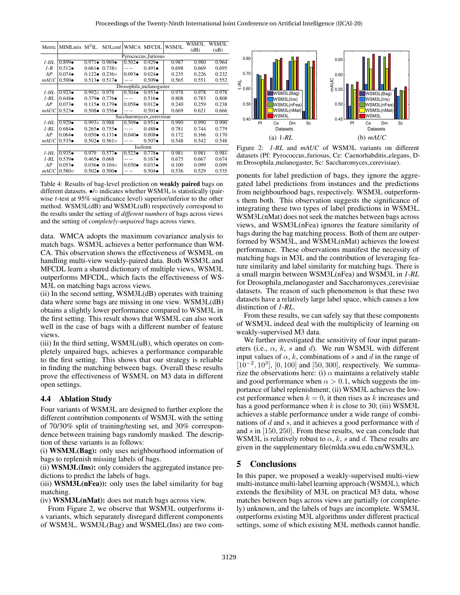WSM3I

<span id="page-5-0"></span>

| Metric  |                          | MIMLmix M <sup>2</sup> IL M3Lcmf WMCA MFCDL WSM3L |                               |                 |                 |       | WSM3L | WSM3L |
|---------|--------------------------|---------------------------------------------------|-------------------------------|-----------------|-----------------|-------|-------|-------|
|         |                          |                                                   |                               |                 |                 |       | (dB)  | (uB)  |
|         | Pyrococcus_furiosus      |                                                   |                               |                 |                 |       |       |       |
| $1-HL$  | $0.899 \bullet$          |                                                   | $0.971 \bullet 0.969 \bullet$ | $0.502 \bullet$ | $0.929 \bullet$ | 0.987 | 0.980 | 0.964 |
| $1 - R$ | $0.512 \bullet$          |                                                   | $0.661 \bullet 0.738$ o       |                 | $0.491 \bullet$ | 0.698 | 0.669 | 0.695 |
| AP      | $0.074 \bullet$          |                                                   | $0.122 \bullet 0.236 \circ$   | $0.093 \bullet$ | $0.024\bullet$  | 0.235 | 0.226 | 0.232 |
| mAUC    | $0.500 \bullet$          |                                                   | $0.513 \bullet 0.517 \bullet$ |                 | $0.509 \bullet$ | 0.565 | 0.551 | 0.552 |
|         | Drosophila_melanogaster  |                                                   |                               |                 |                 |       |       |       |
| $1-HL$  | $0.923 \bullet$          | $0.992 \circ 0.978$                               |                               | $0.504 \bullet$ | $0.953 \bullet$ | 0.978 | 0.978 | 0.978 |
| $1$ -RL | $0.648 \bullet$          |                                                   | $0.379 \bullet 0.776 \bullet$ |                 | $0.516\bullet$  | 0.808 | 0.783 | 0.808 |
| AP      | $0.073 \bullet$          |                                                   | $0.115 \bullet 0.179 \bullet$ | $0.058 \bullet$ | $0.012\bullet$  | 0.240 | 0.259 | 0.238 |
| mAUC    | $0.523 \bullet$          |                                                   | $0.508 \bullet 0.556 \bullet$ |                 | $0.501 \bullet$ | 0.669 | 0.621 | 0.666 |
|         | Saccharomyces_cerevisiae |                                                   |                               |                 |                 |       |       |       |
| $1-HL$  | $0.929 \bullet$          | $0.9930$ 0.988                                    |                               | $0.509 \bullet$ | $0.951 \bullet$ | 0.990 | 0.990 | 0.990 |
| $1$ -RL | $0.684 \bullet$          |                                                   | $0.265 \bullet 0.755 \bullet$ |                 | $0.488 \bullet$ | 0.781 | 0.744 | 0.779 |
| AP      | $0.064 \bullet$          |                                                   | $0.050 \bullet 0.131 \bullet$ | $0.040\bullet$  | $0.008 \bullet$ | 0.172 | 0.166 | 0.170 |
| mAUC    | $0.535\bullet$           |                                                   | $0.502 \bullet 0.561 \circ$   |                 | $0.507 \bullet$ | 0.548 | 0.542 | 0.548 |
|         | Isoform                  |                                                   |                               |                 |                 |       |       |       |
| $1-HL$  | $0.935 \bullet$          | 0.979                                             | $0.577 \bullet$               | $0.523\bullet$  | $0.778 \bullet$ | 0.981 | 0.981 | 0.981 |
| $1$ -RL | $0.539 \bullet$          | $0.465 \bullet$                                   | 0.668                         |                 | $0.167 \bullet$ | 0.675 | 0.667 | 0.674 |
| AP      | $0.053\bullet$           |                                                   | $0.036 \bullet 0.104 \circ$   | $0.030 \bullet$ | $0.033 \bullet$ | 0.100 | 0.099 | 0.099 |
| mAUC    | $0.580\circ$             |                                                   | $0.502 \bullet 0.500 \bullet$ |                 | $0.504 \bullet$ | 0.536 | 0.529 | 0.535 |

Table 4: Results of bag-level prediction on weakly paired bags on different datasets. •/◦ indicates whether WSM3L is statistically (pairwise t-test at 95% significance level) superior/inferior to the other method. WSM3L(dB) and WSM3L(uB) respectively correspond to the results under the setting of *different numbers* of bags across views and the setting of *completely-unpaired* bags across views.

data. WMCA adopts the maximum covariance analysis to match bags. WSM3L achieves a better performance than WM-CA. This observation shows the effectiveness of WSM3L on handling multi-view weakly-paired data. Both WSM3L and MFCDL learn a shared dictionary of multiple views, WSM3L outperforms MFCDL, which facts the effectiveness of WS-M3L on matching bags across views.

(ii) In the second setting, WSM3L(dB) operates with training data where some bags are missing in one view. WSM3L(dB) obtains a slightly lower performance compared to WSM3L in the first setting. This result shows that WSM3L can also work well in the case of bags with a different number of feature views.

(iii) In the third setting, WSM3L(uB), which operates on completely unpaired bags, achieves a performance comparable to the first setting. This shows that our strategy is reliable in finding the matching between bags. Overall these results prove the effectiveness of WSM3L on M3 data in different open settings.

## 4.4 Ablation Study

Four variants of WSM3L are designed to further explore the different contribution components of WSM3L with the setting of 70/30% split of training/testing set, and 30% correspondence between training bags randomly masked. The description of these variants is as follows:

(i) WSM3L(Bag): only uses neighbourhood information of bags to replenish missing labels of bags.

(ii) WSM3L(Ins): only considers the aggregated instance predictions to predict the labels of bags.

(iii) WSM3L(nFea)): only uses the label similarity for bag matching.

(iv) WSM3L(nMat): does not match bags across view.

From Figure [2,](#page-5-1) we observe that WSM3L outperforms its variants, which separately disregard different components of WSM3L. WSM3L(Bag) and WSMEL(Ins) are two com-

<span id="page-5-1"></span>

Figure 2: *1-RL* and *mAUC* of WSM3L variants on different datasets (Pf: Pyrococcus furiosus, Ce: Caenorhabditis elegans, Dm:Drosophila melanogaster, Sc: Saccharomyces cerevisiae).

ponents for label prediction of bags, they ignore the aggregated label predictions from instances and the predictions from neighbourhood bags, respectively. WSM3L outperforms them both. This observation suggests the significance of integrating these two types of label predictions in WSM3L. WSM3L(nMat) does not seek the matches between bags across views, and WSM3L(nFea) ignores the feature similarity of bags during the bag matching process. Both of them are outperformed by WSM3L, and WSM3L(nMat) achieves the lowest performance. These observations manifest the necessity of matching bags in M3L and the contribution of leveraging feature similarity and label similarity for matching bags. There is a small margin between WSM3L(nFea) and WSM3L in *1-RL* for Drosophila melanogaster and Saccharomyces cerevisiae datasets. The reason of such phenomenon is that these two datasets have a relatively large label space, which causes a low distinction of *1-RL*.

From these results, we can safely say that these components of WSM3L indeed deal with the multiplicity of learning on weakly-supervised M3 data.

We further investigated the sensitivity of four input parameters (i.e.,  $\alpha$ , k, s and d). We run WSM3L with different input values of  $\alpha$ , k, combinations of s and d in the range of  $[10^{-2}, 10^{3}]$ ,  $[0, 100]$  and  $[50, 300]$ , respectively. We summarize the observations here: (i)  $\alpha$  maintains a relatively stable and good performance when  $\alpha > 0.1$ , which suggests the importance of label replenishment; (ii) WSM3L achieves the lowest performance when  $k = 0$ , it then rises as k increases and has a good performance when k is close to 30; (iii) WSM3L achieves a stable performance under a wide range of combinations of  $d$  and  $s$ , and it achieves a good performance with  $d$ and s in [150, 250]. From these results, we can conclude that WSM3L is relatively robust to  $\alpha$ , k, s and d. These results are given in the supplementary file[\(mlda.swu.edu.cn/WSM3L\)](http://mlda.swu.edu.cn/codes.php?name=WSM3L).

## 5 Conclusions

In this paper, we proposed a weakly-supervised multi-view multi-instance multi-label learning approach (WSM3L), which extends the flexibility of M3L on practical M3 data, whose matches between bags across views are partially (or completely) unknown, and the labels of bags are incomplete. WSM3L outperforms existing M3L algorithms under different practical settings, some of which existing M3L methods cannot handle.